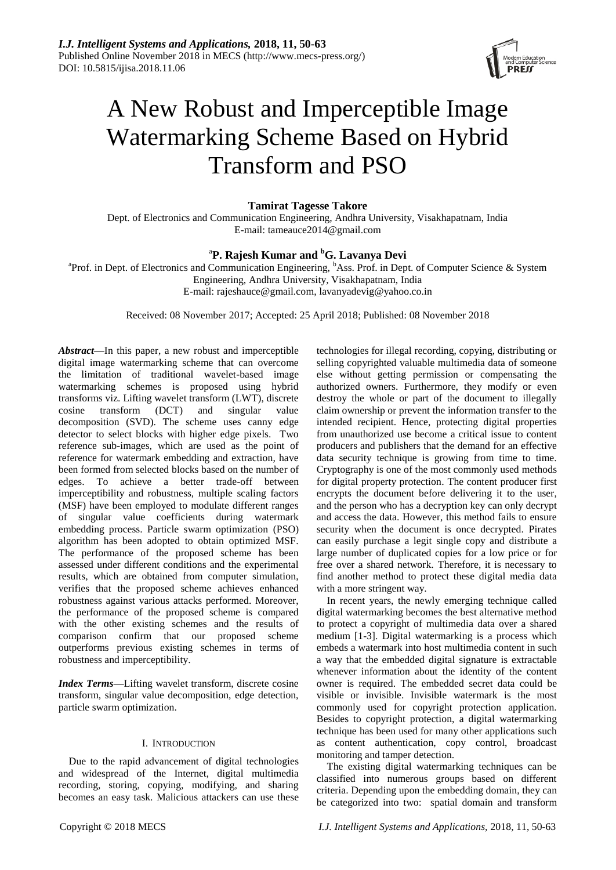

# A New Robust and Imperceptible Image Watermarking Scheme Based on Hybrid Transform and PSO

**Tamirat Tagesse Takore**

Dept. of Electronics and Communication Engineering, Andhra University, Visakhapatnam, India E-mail: [tameauce2014@gmail.com](mailto:tameauce2014@gmail.com)

# a **P. Rajesh Kumar and <sup>b</sup>G. Lavanya Devi**

<sup>a</sup>Prof. in Dept. of Electronics and Communication Engineering, <sup>b</sup>Ass. Prof. in Dept. of Computer Science & System Engineering, Andhra University, Visakhapatnam, India E-mail: [rajeshauce@gmail.com,](mailto:rajeshauce@gmail.com) [lavanyadevig@yahoo.co.in](mailto:lavanyadevig@yahoo.co.in)

Received: 08 November 2017; Accepted: 25 April 2018; Published: 08 November 2018

*Abstract***—**In this paper, a new robust and imperceptible digital image watermarking scheme that can overcome the limitation of traditional wavelet-based image watermarking schemes is proposed using hybrid transforms viz. Lifting wavelet transform (LWT), discrete cosine transform (DCT) and singular value decomposition (SVD). The scheme uses canny edge detector to select blocks with higher edge pixels. Two reference sub-images, which are used as the point of reference for watermark embedding and extraction, have been formed from selected blocks based on the number of edges. To achieve a better trade-off between imperceptibility and robustness, multiple scaling factors (MSF) have been employed to modulate different ranges of singular value coefficients during watermark embedding process. Particle swarm optimization (PSO) algorithm has been adopted to obtain optimized MSF. The performance of the proposed scheme has been assessed under different conditions and the experimental results, which are obtained from computer simulation, verifies that the proposed scheme achieves enhanced robustness against various attacks performed. Moreover, the performance of the proposed scheme is compared with the other existing schemes and the results of comparison confirm that our proposed scheme outperforms previous existing schemes in terms of robustness and imperceptibility.

*Index Terms***—**Lifting wavelet transform, discrete cosine transform, singular value decomposition, edge detection, particle swarm optimization.

# I. INTRODUCTION

Due to the rapid advancement of digital technologies and widespread of the Internet, digital multimedia recording, storing, copying, modifying, and sharing becomes an easy task. Malicious attackers can use these

selling copyrighted valuable multimedia data of someone else without getting permission or compensating the authorized owners. Furthermore, they modify or even destroy the whole or part of the document to illegally claim ownership or prevent the information transfer to the intended recipient. Hence, protecting digital properties from unauthorized use become a critical issue to content producers and publishers that the demand for an effective data security technique is growing from time to time. Cryptography is one of the most commonly used methods for digital property protection. The content producer first encrypts the document before delivering it to the user, and the person who has a decryption key can only decrypt and access the data. However, this method fails to ensure security when the document is once decrypted. Pirates can easily purchase a legit single copy and distribute a large number of duplicated copies for a low price or for free over a shared network. Therefore, it is necessary to find another method to protect these digital media data with a more stringent way.

technologies for illegal recording, copying, distributing or

In recent years, the newly emerging technique called digital watermarking becomes the best alternative method to protect a copyright of multimedia data over a shared medium [1-3]. Digital watermarking is a process which embeds a watermark into host multimedia content in such a way that the embedded digital signature is extractable whenever information about the identity of the content owner is required. The embedded secret data could be visible or invisible. Invisible watermark is the most commonly used for copyright protection application. Besides to copyright protection, a digital watermarking technique has been used for many other applications such as content authentication, copy control, broadcast monitoring and tamper detection.

The existing digital watermarking techniques can be classified into numerous groups based on different criteria. Depending upon the embedding domain, they can be categorized into two: spatial domain and transform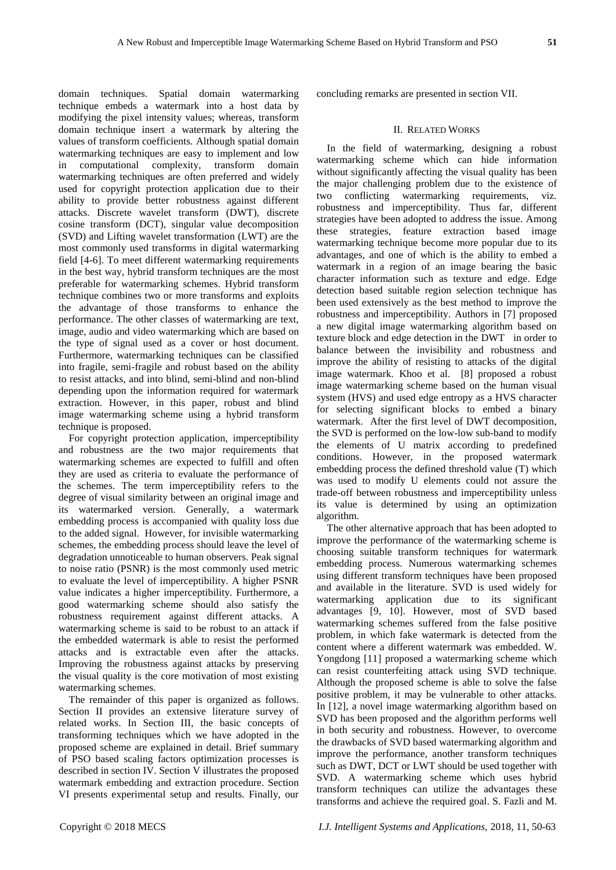domain techniques. Spatial domain watermarking technique embeds a watermark into a host data by modifying the pixel intensity values; whereas, transform domain technique insert a watermark by altering the values of transform coefficients. Although spatial domain watermarking techniques are easy to implement and low in computational complexity, transform domain watermarking techniques are often preferred and widely used for copyright protection application due to their ability to provide better robustness against different attacks. Discrete wavelet transform (DWT), discrete cosine transform (DCT), singular value decomposition (SVD) and Lifting wavelet transformation (LWT) are the most commonly used transforms in digital watermarking field [4-6]. To meet different watermarking requirements in the best way, hybrid transform techniques are the most preferable for watermarking schemes. Hybrid transform technique combines two or more transforms and exploits the advantage of those transforms to enhance the performance. The other classes of watermarking are text, image, audio and video watermarking which are based on the type of signal used as a cover or host document. Furthermore, watermarking techniques can be classified into fragile, semi-fragile and robust based on the ability to resist attacks, and into blind, semi-blind and non-blind depending upon the information required for watermark extraction. However, in this paper, robust and blind image watermarking scheme using a hybrid transform technique is proposed.

For copyright protection application, imperceptibility and robustness are the two major requirements that watermarking schemes are expected to fulfill and often they are used as criteria to evaluate the performance of the schemes. The term imperceptibility refers to the degree of visual similarity between an original image and its watermarked version. Generally, a watermark embedding process is accompanied with quality loss due to the added signal. However, for invisible watermarking schemes, the embedding process should leave the level of degradation unnoticeable to human observers. Peak signal to noise ratio (PSNR) is the most commonly used metric to evaluate the level of imperceptibility. A higher PSNR value indicates a higher imperceptibility. Furthermore, a good watermarking scheme should also satisfy the robustness requirement against different attacks. A watermarking scheme is said to be robust to an attack if the embedded watermark is able to resist the performed attacks and is extractable even after the attacks. Improving the robustness against attacks by preserving the visual quality is the core motivation of most existing watermarking schemes.

The remainder of this paper is organized as follows. Section II provides an extensive literature survey of related works. In Section III, the basic concepts of transforming techniques which we have adopted in the proposed scheme are explained in detail. Brief summary of PSO based scaling factors optimization processes is described in section IV. Section V illustrates the proposed watermark embedding and extraction procedure. Section VI presents experimental setup and results. Finally, our

concluding remarks are presented in section VII.

# II. RELATED WORKS

In the field of watermarking, designing a robust watermarking scheme which can hide information without significantly affecting the visual quality has been the major challenging problem due to the existence of two conflicting watermarking requirements, viz. robustness and imperceptibility. Thus far, different strategies have been adopted to address the issue. Among these strategies, feature extraction based image watermarking technique become more popular due to its advantages, and one of which is the ability to embed a watermark in a region of an image bearing the basic character information such as texture and edge. Edge detection based suitable region selection technique has been used extensively as the best method to improve the robustness and imperceptibility. Authors in [7] proposed a new digital image watermarking algorithm based on texture block and edge detection in the DWT in order to balance between the invisibility and robustness and improve the ability of resisting to attacks of the digital image watermark. Khoo et al. [8] proposed a robust image watermarking scheme based on the human visual system (HVS) and used edge entropy as a HVS character for selecting significant blocks to embed a binary watermark. After the first level of DWT decomposition, the SVD is performed on the low-low sub-band to modify the elements of U matrix according to predefined conditions. However, in the proposed watermark embedding process the defined threshold value (T) which was used to modify U elements could not assure the trade-off between robustness and imperceptibility unless its value is determined by using an optimization algorithm.

The other alternative approach that has been adopted to improve the performance of the watermarking scheme is choosing suitable transform techniques for watermark embedding process. Numerous watermarking schemes using different transform techniques have been proposed and available in the literature. SVD is used widely for watermarking application due to its significant advantages [9, 10]. However, most of SVD based watermarking schemes suffered from the false positive problem, in which fake watermark is detected from the content where a different watermark was embedded. W. Yongdong [11] proposed a watermarking scheme which can resist counterfeiting attack using SVD technique. Although the proposed scheme is able to solve the false positive problem, it may be vulnerable to other attacks. In [12], a novel image watermarking algorithm based on SVD has been proposed and the algorithm performs well in both security and robustness. However, to overcome the drawbacks of SVD based watermarking algorithm and improve the performance, another transform techniques such as DWT, DCT or LWT should be used together with SVD. A watermarking scheme which uses hybrid transform techniques can utilize the advantages these transforms and achieve the required goal. S. Fazli and M.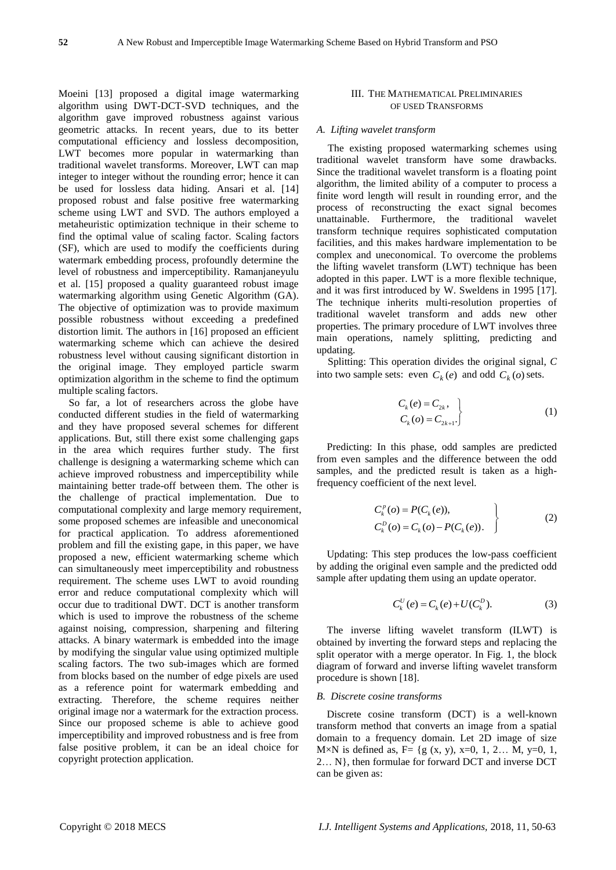Moeini [13] proposed a digital image watermarking algorithm using DWT-DCT-SVD techniques, and the algorithm gave improved robustness against various geometric attacks. In recent years, due to its better computational efficiency and lossless decomposition, LWT becomes more popular in watermarking than traditional wavelet transforms. Moreover, LWT can map integer to integer without the rounding error; hence it can be used for lossless data hiding. Ansari et al. [14] proposed robust and false positive free watermarking scheme using LWT and SVD. The authors employed a metaheuristic optimization technique in their scheme to find the optimal value of scaling factor. Scaling factors (SF), which are used to modify the coefficients during watermark embedding process, profoundly determine the level of robustness and imperceptibility. Ramanjaneyulu et al. [15] proposed a quality guaranteed robust image watermarking algorithm using Genetic Algorithm (GA). The objective of optimization was to provide maximum possible robustness without exceeding a predefined distortion limit. The authors in [16] proposed an efficient watermarking scheme which can achieve the desired robustness level without causing significant distortion in the original image. They employed particle swarm optimization algorithm in the scheme to find the optimum multiple scaling factors.

So far, a lot of researchers across the globe have conducted different studies in the field of watermarking and they have proposed several schemes for different applications. But, still there exist some challenging gaps in the area which requires further study. The first challenge is designing a watermarking scheme which can achieve improved robustness and imperceptibility while maintaining better trade-off between them. The other is the challenge of practical implementation. Due to computational complexity and large memory requirement, some proposed schemes are infeasible and uneconomical for practical application. To address aforementioned problem and fill the existing gape, in this paper, we have proposed a new, efficient watermarking scheme which can simultaneously meet imperceptibility and robustness requirement. The scheme uses LWT to avoid rounding error and reduce computational complexity which will occur due to traditional DWT. DCT is another transform which is used to improve the robustness of the scheme against noising, compression, sharpening and filtering attacks. A binary watermark is embedded into the image by modifying the singular value using optimized multiple scaling factors. The two sub-images which are formed from blocks based on the number of edge pixels are used as a reference point for watermark embedding and extracting. Therefore, the scheme requires neither original image nor a watermark for the extraction process. Since our proposed scheme is able to achieve good imperceptibility and improved robustness and is free from false positive problem, it can be an ideal choice for copyright protection application.

# III. THE MATHEMATICAL PRELIMINARIES OF USED TRANSFORMS

#### *A. Lifting wavelet transform*

The existing proposed watermarking schemes using traditional wavelet transform have some drawbacks. Since the traditional wavelet transform is a floating point algorithm, the limited ability of a computer to process a finite word length will result in rounding error, and the process of reconstructing the exact signal becomes unattainable. Furthermore, the traditional wavelet transform technique requires sophisticated computation facilities, and this makes hardware implementation to be complex and uneconomical. To overcome the problems the lifting wavelet transform (LWT) technique has been adopted in this paper. LWT is a more flexible technique, and it was first introduced by W. Sweldens in 1995 [17]. The technique inherits multi-resolution properties of traditional wavelet transform and adds new other properties. The primary procedure of LWT involves three main operations, namely splitting, predicting and updating.

Splitting: This operation divides the original signal, *C*  into two sample sets: even  $C_k(e)$  and odd  $C_k(o)$  sets.

$$
C_k(e) = C_{2k},
$$
  
\n
$$
C_k(o) = C_{2k+1}.
$$
\n(1)

Predicting: In this phase, odd samples are predicted from even samples and the difference between the odd samples, and the predicted result is taken as a highfrequency coefficient of the next level.

$$
C_k^p(o) = P(C_k(e)),C_k^D(o) = C_k(o) - P(C_k(e)).
$$
 (2)

Updating: This step produces the low-pass coefficient by adding the original even sample and the predicted odd sample after updating them using an update operator.

$$
C_k^U(e) = C_k(e) + U(C_k^D).
$$
 (3)

The inverse lifting wavelet transform (ILWT) is obtained by inverting the forward steps and replacing the split operator with a merge operator. In Fig. 1, the block diagram of forward and inverse lifting wavelet transform procedure is shown [18].

## *B. Discrete cosine transforms*

Discrete cosine transform (DCT) is a well-known transform method that converts an image from a spatial domain to a frequency domain. Let 2D image of size  $M \times N$  is defined as, F= {g (x, y), x=0, 1, 2... M, y=0, 1, 2… N}, then formulae for forward DCT and inverse DCT can be given as: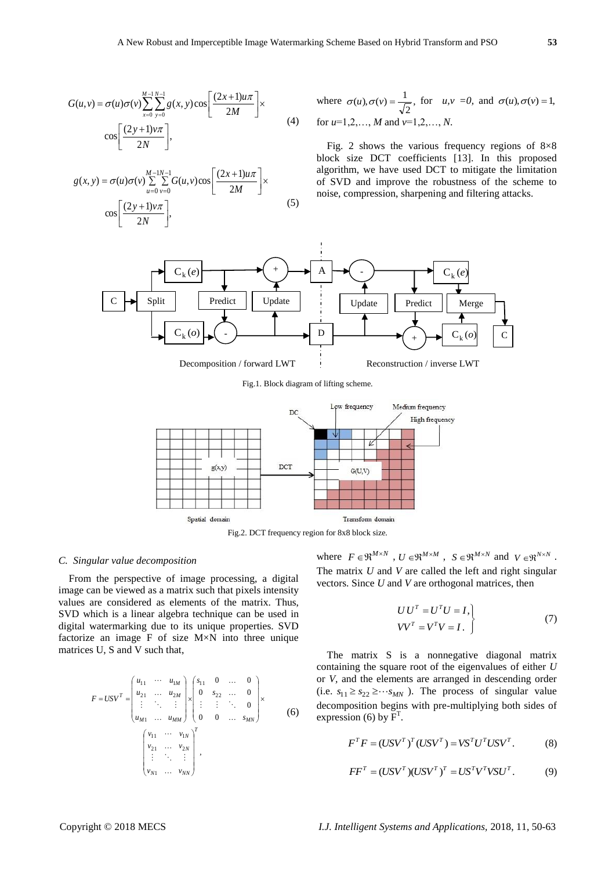$$
G(u,v) = \sigma(u)\sigma(v)\sum_{x=0}^{M-1}\sum_{y=0}^{N-1}g(x,y)\cos\left[\frac{(2x+1)u\pi}{2M}\right] \times \cos\left[\frac{(2y+1)v\pi}{2N}\right],
$$
\n(4)

$$
g(x, y) = \sigma(u)\sigma(v)\sum_{u=0}^{M-1N-1} \sum_{v=0}^{N-1} G(u, v)\cos\left[\frac{(2x+1)u\pi}{2M}\right] \times \cos\left[\frac{(2y+1)v\pi}{2N}\right],
$$
\n(5)

where 
$$
\sigma(u), \sigma(v) = \frac{1}{\sqrt{2}}
$$
, for  $u, v = 0$ , and  $\sigma(u), \sigma(v) = 1$ ,  
for  $u=1,2,..., M$  and  $v=1,2,..., N$ .

Fig. 2 shows the various frequency regions of  $8\times8$ block size DCT coefficients [13]. In this proposed algorithm, we have used DCT to mitigate the limitation of SVD and improve the robustness of the scheme to noise, compression, sharpening and filtering attacks.



Fig.1. Block diagram of lifting scheme.



Fig.2. DCT frequency region for 8x8 block size.

# *C. Singular value decomposition*

From the perspective of image processing, a digital image can be viewed as a matrix such that pixels intensity values are considered as elements of the matrix. Thus, SVD which is a linear algebra technique can be used in digital watermarking due to its unique properties. SVD factorize an image F of size M×N into three unique matrices U, S and V such that,

$$
F = USV^{T} = \begin{pmatrix} u_{11} & \cdots & u_{1M} \\ u_{21} & \cdots & u_{2M} \\ \vdots & \ddots & \vdots \\ u_{M1} & \cdots & u_{MM} \end{pmatrix} \times \begin{pmatrix} s_{11} & 0 & \cdots & 0 \\ 0 & s_{22} & \cdots & 0 \\ \vdots & \vdots & \ddots & 0 \\ 0 & 0 & \cdots & s_{MN} \end{pmatrix} \times (6)
$$
  

$$
\begin{pmatrix} v_{11} & \cdots & v_{1N} \\ v_{21} & \cdots & v_{2N} \\ \vdots & \ddots & \vdots \\ v_{N1} & \cdots & v_{NN} \end{pmatrix}^{T},
$$

where  $F \in \mathbb{R}^{M \times N}$ ,  $U \in \mathbb{R}^{M \times M}$ ,  $S \in \mathbb{R}^{M \times N}$  and  $V \in \mathbb{R}^{N \times N}$ . The matrix *U* and *V* are called the left and right singular vectors. Since *U* and *V* are orthogonal matrices, then

$$
\begin{aligned} UU^T &= U^T U = I, \\ VV^T &= V^T V = I. \end{aligned} \tag{7}
$$

The matrix S is a nonnegative diagonal matrix containing the square root of the eigenvalues of either *U* or *V,* and the elements are arranged in descending order (i.e.  $s_{11} \geq s_{22} \geq \cdots s_{MN}$ ). The process of singular value decomposition begins with pre-multiplying both sides of expression (6) by  $\overline{F}^T$ .

$$
FTF = (USVT)T (USVT) = VST UT USVT.
$$
 (8)

$$
FFT = (USVT)(USVT)T = USTVTVSUT.
$$
 (9)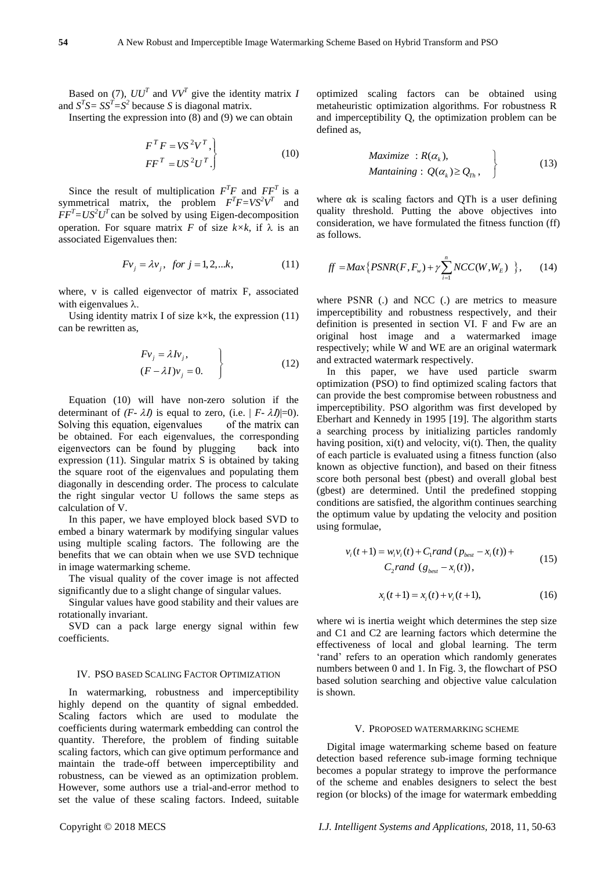Based on (7),  $UU^T$  and  $VV^T$  give the identity matrix *I* and  $S^T S = S S^T = S^2$  because *S* is diagonal matrix.

Inserting the expression into  $(8)$  and  $(9)$  we can obtain

$$
F^T F = VS^2 V^T,
$$
  
\n
$$
F F^T = US^2 U^T.
$$
\n(10)

Since the result of multiplication  $F^T F$  and  $F F^T$  is a symmetrical matrix, the problem  $F^T F = V S^2 V^T$  and  $\overline{F}F^{T} = US^{2}U^{T}$  can be solved by using Eigen-decomposition operation. For square matrix *F* of size  $k \times k$ , if  $\lambda$  is an associated Eigenvalues then:

$$
Fv_j = \lambda v_j
$$
, for  $j = 1, 2, \dots k$ , (11)

where, v is called eigenvector of matrix F, associated with eigenvalues  $\lambda$ .

Using identity matrix I of size  $k \times k$ , the expression (11) can be rewritten as,

$$
\begin{aligned}\nFv_j &= \lambda I v_j, \\
(F - \lambda I)v_j &= 0.\n\end{aligned}
$$
\n(12)

Equation (10) will have non-zero solution if the determinant of  $(F - \lambda I)$  is equal to zero, (i.e.  $|F - \lambda I| = 0$ ). Solving this equation, eigenvalues of the matrix can be obtained. For each eigenvalues, the corresponding eigenvectors can be found by plugging back into expression (11). Singular matrix S is obtained by taking the square root of the eigenvalues and populating them diagonally in descending order. The process to calculate the right singular vector U follows the same steps as calculation of V.

In this paper, we have employed block based SVD to embed a binary watermark by modifying singular values using multiple scaling factors. The following are the benefits that we can obtain when we use SVD technique in image watermarking scheme.

The visual quality of the cover image is not affected significantly due to a slight change of singular values.

Singular values have good stability and their values are rotationally invariant.

SVD can a pack large energy signal within few coefficients.

#### IV. PSO BASED SCALING FACTOR OPTIMIZATION

In watermarking, robustness and imperceptibility highly depend on the quantity of signal embedded. Scaling factors which are used to modulate the coefficients during watermark embedding can control the quantity. Therefore, the problem of finding suitable scaling factors, which can give optimum performance and maintain the trade-off between imperceptibility and robustness, can be viewed as an optimization problem. However, some authors use a trial-and-error method to set the value of these scaling factors. Indeed, suitable optimized scaling factors can be obtained using metaheuristic optimization algorithms. For robustness R and imperceptibility Q, the optimization problem can be defined as,

$$
Maximize : R(\alpha_k),
$$
  
\n
$$
Mantaining : Q(\alpha_k) \geq Q_{T_h},
$$
\n(13)

where αk is scaling factors and QTh is a user defining quality threshold. Putting the above objectives into consideration, we have formulated the fitness function (ff) as follows.

$$
ff = Max\{PSNR(F, F_w) + \gamma \sum_{i=1}^{n} NCC(W, W_E) \}, \qquad (14)
$$

where PSNR (.) and NCC (.) are metrics to measure imperceptibility and robustness respectively, and their definition is presented in section VI. F and Fw are an original host image and a watermarked image respectively; while W and WE are an original watermark and extracted watermark respectively.

In this paper, we have used particle swarm optimization (PSO) to find optimized scaling factors that can provide the best compromise between robustness and imperceptibility. PSO algorithm was first developed by Eberhart and Kennedy in 1995 [19]. The algorithm starts a searching process by initializing particles randomly having position,  $xi(t)$  and velocity,  $vi(t)$ . Then, the quality of each particle is evaluated using a fitness function (also known as objective function), and based on their fitness score both personal best (pbest) and overall global best (gbest) are determined. Until the predefined stopping conditions are satisfied, the algorithm continues searching the optimum value by updating the velocity and position using formulae,

$$
v_i(t+1) = w_i v_i(t) + C_1 rand (p_{best} - x_i(t)) + C_2 rand (g_{best} - x_i(t)),
$$
\n(15)

$$
x_i(t+1) = x_i(t) + v_i(t+1),
$$
\n(16)

where wi is inertia weight which determines the step size and C1 and C2 are learning factors which determine the effectiveness of local and global learning. The term 'rand' refers to an operation which randomly generates numbers between 0 and 1. In Fig. 3, the flowchart of PSO based solution searching and objective value calculation is shown.

#### V. PROPOSED WATERMARKING SCHEME

Digital image watermarking scheme based on feature detection based reference sub-image forming technique becomes a popular strategy to improve the performance of the scheme and enables designers to select the best region (or blocks) of the image for watermark embedding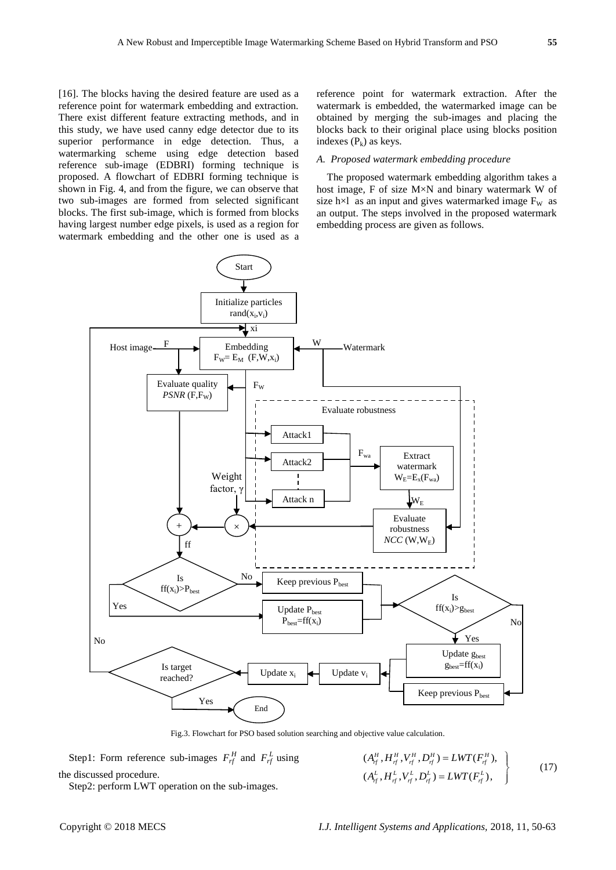[16]. The blocks having the desired feature are used as a reference point for watermark embedding and extraction. There exist different feature extracting methods, and in this study, we have used canny edge detector due to its superior performance in edge detection. Thus, a watermarking scheme using edge detection based reference sub-image (EDBRI) forming technique is proposed. A flowchart of EDBRI forming technique is shown in Fig. 4, and from the figure, we can observe that two sub-images are formed from selected significant blocks. The first sub-image, which is formed from blocks having largest number edge pixels, is used as a region for watermark embedding and the other one is used as a reference point for watermark extraction. After the watermark is embedded, the watermarked image can be obtained by merging the sub-images and placing the blocks back to their original place using blocks position indexes  $(P_k)$  as keys.

## *A. Proposed watermark embedding procedure*

The proposed watermark embedding algorithm takes a host image, F of size M×N and binary watermark W of size h $\times$ l as an input and gives watermarked image  $F_W$  as an output. The steps involved in the proposed watermark embedding process are given as follows.



Fig.3. Flowchart for PSO based solution searching and objective value calculation.

Step1: Form reference sub-images  $F_{rf}^H$  and  $F_{rf}^L$  using the discussed procedure.

Step2: perform LWT operation on the sub-images.

 $(A_{\tau f}^H, H_{\tau f}^H, V_{\tau f}^H, D_{\tau f}^H) = LWT(F_{\tau f}^H),$  $(A_f^L, H_f^L, V_f^L, D_f^L) = LWT(F_{rf}^L),$  $H^H_{\textit{rf}}$  ,  $H^H_{\textit{rf}}$  ,  $V^H_{\textit{rf}}$  ,  $D^H_{\textit{rf}}$  ) =  $LWT(F^H_{\textit{rf}})$  $L_{rf}^L$ ,  $H_{rf}^L$ ,  $V_{rf}^L$ ,  $D_{rf}^L$ ) = LWT( $F_{rf}^L$  $A_{f}^{H}, H_{f f}^{H}, V_{f f}^{H}, D_{f f}^{H}) = LWT(F)$  $A_{rf}^L$ ,  $H_{rf}^L$ ,  $V_{rf}^L$ ,  $D_{rf}^L$ ) = LWT(*F* 

 $= LWT(F_{rf}^H),$ <br>=  $LWT(F_{rf}^L),$ 

(17)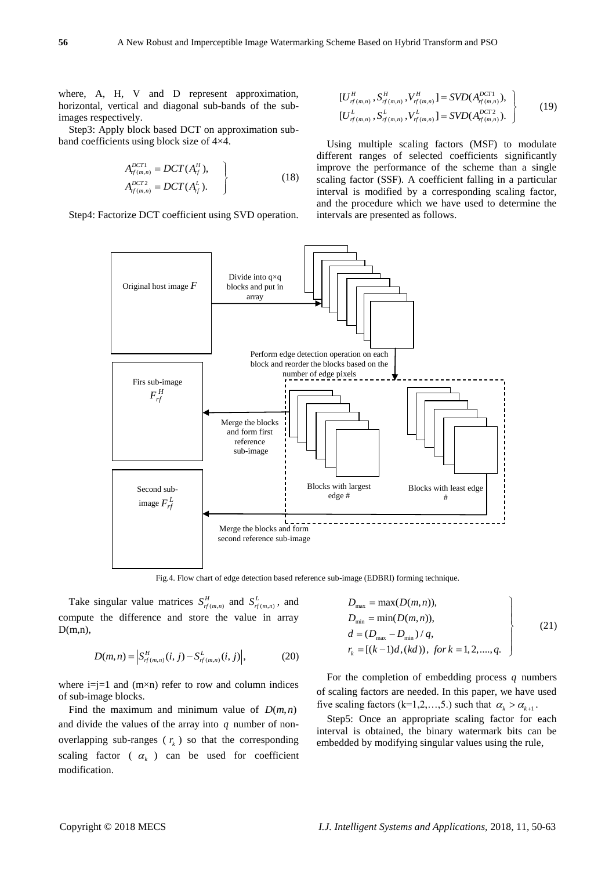where, A, H, V and D represent approximation, horizontal, vertical and diagonal sub-bands of the subimages respectively.

Step3: Apply block based DCT on approximation subband coefficients using block size of 4×4.

$$
A_{rf(m,n)}^{DCT1} = DCT(A_f^H),
$$
  
\n
$$
A_{rf(m,n)}^{DCT2} = DCT(A_f^L).
$$
 (18)

Step4: Factorize DCT coefficient using SVD operation.

$$
\begin{aligned}\n[U_{f(m,n)}^H, S_{f(m,n)}^H, V_{f(m,n)}^H] &= SVD(A_{f(m,n)}^{DCT1}), \\
[U_{f(m,n)}^L, S_{f(m,n)}^L, V_{f(m,n)}^L] &= SVD(A_{f(m,n)}^{DCT2}).\n\end{aligned} \tag{19}
$$

Using multiple scaling factors (MSF) to modulate different ranges of selected coefficients significantly improve the performance of the scheme than a single scaling factor (SSF). A coefficient falling in a particular interval is modified by a corresponding scaling factor, and the procedure which we have used to determine the intervals are presented as follows.



Fig.4. Flow chart of edge detection based reference sub-image (EDBRI) forming technique.

Take singular value matrices  $S_{rf(m,n)}^H$  and  $S_{rf(m,n)}^L$ , and compute the difference and store the value in array  $D(m,n)$ ,

$$
D(m,n) = \left| S_{f(m,n)}^H(i,j) - S_{f(m,n)}^L(i,j) \right|, \tag{20}
$$

where  $i=i=1$  and  $(m \times n)$  refer to row and column indices of sub-image blocks.

Find the maximum and minimum value of  $D(m, n)$ and divide the values of the array into *q* number of nonoverlapping sub-ranges ( $r<sub>k</sub>$ ) so that the corresponding scaling factor ( $\alpha_k$ ) can be used for coefficient modification.

$$
D_{\max} = \max(D(m, n)),
$$
  
\n
$$
D_{\min} = \min(D(m, n)),
$$
  
\n
$$
d = (D_{\max} - D_{\min}) / q,
$$
  
\n
$$
r_k = [(k-1)d, (kd)), \text{ for } k = 1, 2, ..., q.
$$
\n(21)

For the completion of embedding process *q* numbers of scaling factors are needed. In this paper, we have used five scaling factors (k=1,2,...,5.) such that  $\alpha_k > \alpha_{k+1}$ .

Step5: Once an appropriate scaling factor for each interval is obtained, the binary watermark bits can be embedded by modifying singular values using the rule,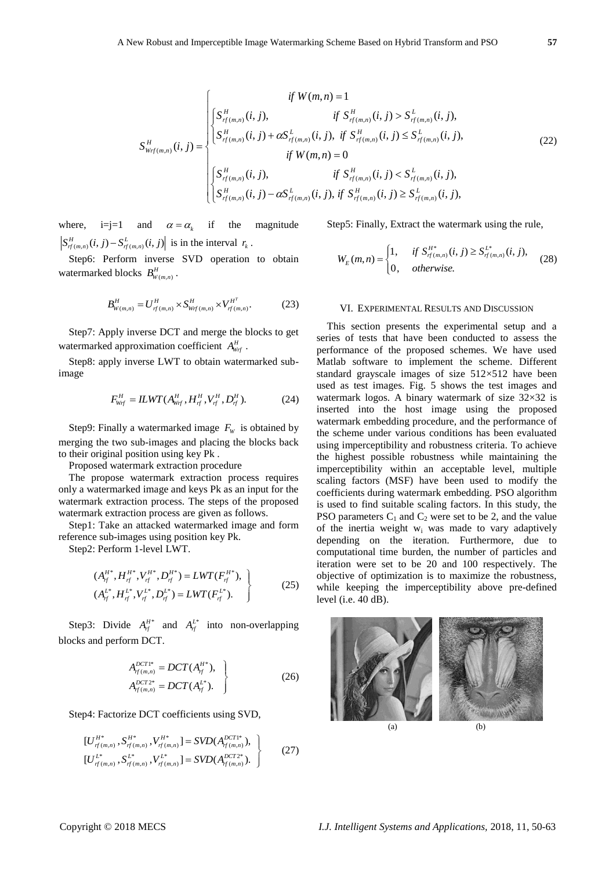$$
S_{w_{rf}(m,n)}^{H}(i, j) = \begin{cases} \n\begin{cases} \n\int S_{rf(m,n)}^{H}(i, j), & \text{if } S_{rf(m,n)}^{H}(i, j) > S_{rf(m,n)}^{L}(i, j), \\ \n\int S_{w_{rf}(m,n)}^{H}(i, j) + \alpha S_{rf(m,n)}^{L}(i, j), & \text{if } S_{rf(m,n)}^{H}(i, j) \leq S_{rf(m,n)}^{L}(i, j), \\ \n\int S_{r(m,n)}^{H}(i, j), & \text{if } S_{rf(m,n)}^{H}(i, j) < S_{rf(m,n)}^{L}(i, j), \\ \n\int S_{rf(m,n)}^{H}(i, j) - \alpha S_{rf(m,n)}^{L}(i, j), & \text{if } S_{rf(m,n)}^{H}(i, j) \geq S_{rf(m,n)}^{L}(i, j), \n\end{cases} \n\end{cases} \tag{22}
$$

where,  $i=j=1$  and  $\alpha = \alpha_k$  if the magnitude  $S_{r f(m,n)}^H(i, j) - S_{r f(m,n)}^L(i, j)$  is in the interval  $r_k$ .

Step6: Perform inverse SVD operation to obtain watermarked blocks  $B_{W(m,n)}^H$ .

$$
B_{W(m,n)}^H = U_{r f(m,n)}^H \times S_{W f(m,n)}^H \times V_{r f(m,n)}^{H^T}.
$$
 (23)

Step7: Apply inverse DCT and merge the blocks to get watermarked approximation coefficient  $A_{w_f}^H$ .

Step8: apply inverse LWT to obtain watermarked subimage

$$
F_{w_f}^H = ILWT(A_{w_f}^H, H_{f^f}^H, V_{f^f}^H, D_{f^f}^H). \tag{24}
$$

Step9: Finally a watermarked image  $F_w$  is obtained by merging the two sub-images and placing the blocks back to their original position using key Pk .

Proposed watermark extraction procedure

The propose watermark extraction process requires only a watermarked image and keys Pk as an input for the watermark extraction process. The steps of the proposed watermark extraction process are given as follows.

Step1: Take an attacked watermarked image and form reference sub-images using position key Pk.

Step2: Perform 1-level LWT.

$$
(A_f^{H^*}, H_f^{H^*}, V_f^{H^*}, D_f^{H^*}) = LWT(F_f^{H^*}),
$$
  
\n
$$
(A_f^{L^*}, H_f^{L^*}, V_f^{L^*}, D_f^{L^*}) = LWT(F_{f_f}^{L^*}).
$$
\n(25)

Step3: Divide  $A_{rf}^{H*}$  and  $A_{rf}^{L*}$  into non-overlapping blocks and perform DCT.

$$
A_{rf(m,n)}^{DCT1*} = DCT(A_f^{H*}),
$$
  
\n
$$
A_{rf(m,n)}^{DCT2*} = DCT(A_f^{L*}).
$$
\n(26)

Step4: Factorize DCT coefficients using SVD,

$$
\begin{aligned}\n[U_{f(m,n)}^{H^*}, S_{f(m,n)}^{H^*}, V_{f(m,n)}^{H^*}] &= SVD(A_{f(m,n)}^{DCT1^*}), \\
[U_{f(m,n)}^{L^*}, S_{f(m,n)}^{L^*}, V_{f(m,n)}^{L^*}] &= SVD(A_{f(m,n)}^{DCT2^*}).\n\end{aligned} (27)
$$

Step5: Finally, Extract the watermark using the rule,

$$
W_E(m,n) = \begin{cases} 1, & \text{if } S_{f(m,n)}^{H^*}(i,j) \ge S_{f(m,n)}^{L^*}(i,j), \\ 0, & \text{otherwise.} \end{cases}
$$
 (28)

### VI. EXPERIMENTAL RESULTS AND DISCUSSION

This section presents the experimental setup and a series of tests that have been conducted to assess the performance of the proposed schemes. We have used Matlab software to implement the scheme. Different standard grayscale images of size  $512\times512$  have been used as test images. Fig. 5 shows the test images and watermark logos. A binary watermark of size  $32\times32$  is inserted into the host image using the proposed watermark embedding procedure, and the performance of the scheme under various conditions has been evaluated using imperceptibility and robustness criteria. To achieve the highest possible robustness while maintaining the imperceptibility within an acceptable level, multiple scaling factors (MSF) have been used to modify the coefficients during watermark embedding. PSO algorithm is used to find suitable scaling factors. In this study, the PSO parameters  $C_1$  and  $C_2$  were set to be 2, and the value of the inertia weight  $w_i$  was made to vary adaptively depending on the iteration. Furthermore, due to computational time burden, the number of particles and iteration were set to be 20 and 100 respectively. The objective of optimization is to maximize the robustness, while keeping the imperceptibility above pre-defined level (i.e. 40 dB).

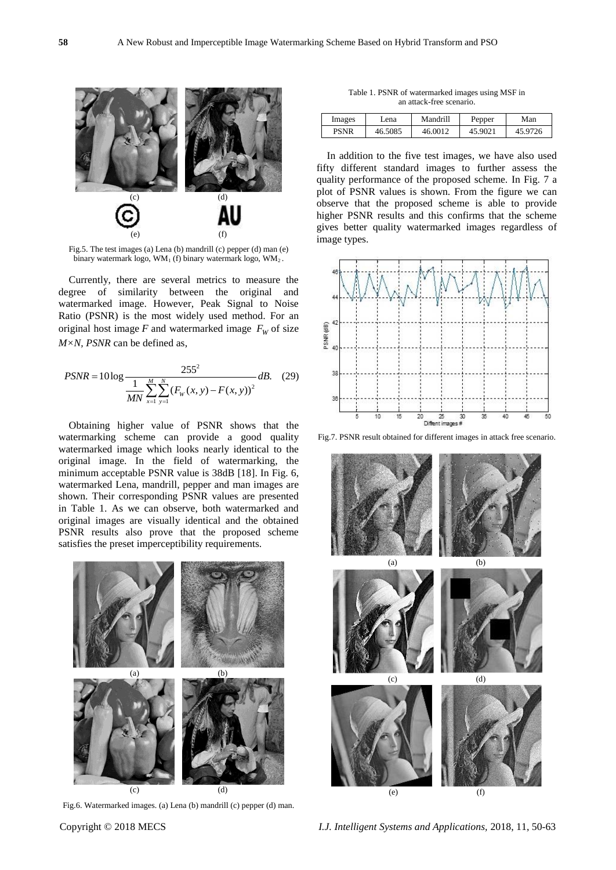

Fig.5. The test images (a) Lena (b) mandrill (c) pepper (d) man (e) binary watermark logo,  $WM_1$  (f) binary watermark logo,  $WM_2$ .

Currently, there are several metrics to measure the degree of similarity between the original and watermarked image. However, Peak Signal to Noise Ratio (PSNR) is the most widely used method. For an original host image  $F$  and watermarked image  $F<sub>W</sub>$  of size *M×N, PSNR* can be defined as,

$$
PSNR = 10 \log \frac{255^2}{\frac{1}{MN} \sum_{x=1}^{M} \sum_{y=1}^{N} (F_w(x, y) - F(x, y))^2} dB.
$$
 (29)

Obtaining higher value of PSNR shows that the watermarking scheme can provide a good quality watermarked image which looks nearly identical to the original image. In the field of watermarking, the minimum acceptable PSNR value is 38dB [18]. In Fig. 6, watermarked Lena, mandrill, pepper and man images are shown. Their corresponding PSNR values are presented in Table 1. As we can observe, both watermarked and original images are visually identical and the obtained PSNR results also prove that the proposed scheme satisfies the preset imperceptibility requirements.



Fig.6. Watermarked images. (a) Lena (b) mandrill (c) pepper (d) man.

Table 1. PSNR of watermarked images using MSF in an attack-free scenario.

| Images | Lena    | Mandrill | Pepper  | Man |
|--------|---------|----------|---------|-----|
|        | 46.5085 | 46.0012  | 45.9021 | 726 |

In addition to the five test images, we have also used fifty different standard images to further assess the quality performance of the proposed scheme. In Fig. 7 a plot of PSNR values is shown. From the figure we can observe that the proposed scheme is able to provide higher PSNR results and this confirms that the scheme gives better quality watermarked images regardless of image types.



Fig.7. PSNR result obtained for different images in attack free scenario.

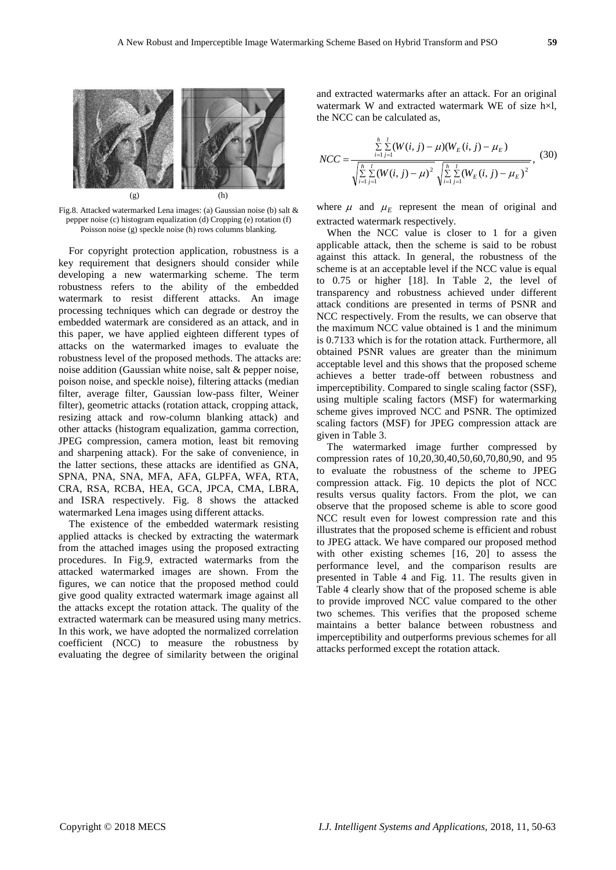

Fig.8. Attacked watermarked Lena images: (a) Gaussian noise (b) salt & pepper noise (c) histogram equalization (d) Cropping (e) rotation (f) Poisson noise (g) speckle noise (h) rows columns blanking.

For copyright protection application, robustness is a key requirement that designers should consider while developing a new watermarking scheme. The term robustness refers to the ability of the embedded watermark to resist different attacks. An image processing techniques which can degrade or destroy the embedded watermark are considered as an attack, and in this paper, we have applied eighteen different types of attacks on the watermarked images to evaluate the robustness level of the proposed methods. The attacks are: noise addition (Gaussian white noise, salt & pepper noise, poison noise, and speckle noise), filtering attacks (median filter, average filter, Gaussian low-pass filter, Weiner filter), geometric attacks (rotation attack, cropping attack, resizing attack and row-column blanking attack) and other attacks (histogram equalization, gamma correction, JPEG compression, camera motion, least bit removing and sharpening attack). For the sake of convenience, in the latter sections, these attacks are identified as GNA, SPNA, PNA, SNA, MFA, AFA, GLPFA, WFA, RTA, CRA, RSA, RCBA, HEA, GCA, JPCA, CMA, LBRA, and ISRA respectively. Fig. 8 shows the attacked watermarked Lena images using different attacks.

The existence of the embedded watermark resisting applied attacks is checked by extracting the watermark from the attached images using the proposed extracting procedures. In Fig.9, extracted watermarks from the attacked watermarked images are shown. From the figures, we can notice that the proposed method could give good quality extracted watermark image against all the attacks except the rotation attack. The quality of the extracted watermark can be measured using many metrics. In this work, we have adopted the normalized correlation coefficient (NCC) to measure the robustness by evaluating the degree of similarity between the original

and extracted watermarks after an attack. For an original watermark W and extracted watermark WE of size h×l, the NCC can be calculated as,

$$
NCC = \frac{\sum_{i=1}^{h} \sum_{j=1}^{l} (W(i, j) - \mu)(W_E(i, j) - \mu_E)}{\sqrt{\sum_{i=1}^{h} \sum_{j=1}^{l} (W(i, j) - \mu)^2} \sqrt{\sum_{i=1}^{h} \sum_{j=1}^{l} (W_E(i, j) - \mu_E)^2}},
$$
(30)

where  $\mu$  and  $\mu$ <sub>E</sub> represent the mean of original and extracted watermark respectively.

When the NCC value is closer to 1 for a given applicable attack, then the scheme is said to be robust against this attack. In general, the robustness of the scheme is at an acceptable level if the NCC value is equal to 0.75 or higher [18]. In Table 2, the level of transparency and robustness achieved under different attack conditions are presented in terms of PSNR and NCC respectively. From the results, we can observe that the maximum NCC value obtained is 1 and the minimum is 0.7133 which is for the rotation attack. Furthermore, all obtained PSNR values are greater than the minimum acceptable level and this shows that the proposed scheme achieves a better trade-off between robustness and imperceptibility. Compared to single scaling factor (SSF), using multiple scaling factors (MSF) for watermarking scheme gives improved NCC and PSNR. The optimized scaling factors (MSF) for JPEG compression attack are given in Table 3.

The watermarked image further compressed by compression rates of 10,20,30,40,50,60,70,80,90, and 95 to evaluate the robustness of the scheme to JPEG compression attack. Fig. 10 depicts the plot of NCC results versus quality factors. From the plot, we can observe that the proposed scheme is able to score good NCC result even for lowest compression rate and this illustrates that the proposed scheme is efficient and robust to JPEG attack. We have compared our proposed method with other existing schemes [16, 20] to assess the performance level, and the comparison results are presented in Table 4 and Fig. 11. The results given in Table 4 clearly show that of the proposed scheme is able to provide improved NCC value compared to the other two schemes. This verifies that the proposed scheme maintains a better balance between robustness and imperceptibility and outperforms previous schemes for all attacks performed except the rotation attack.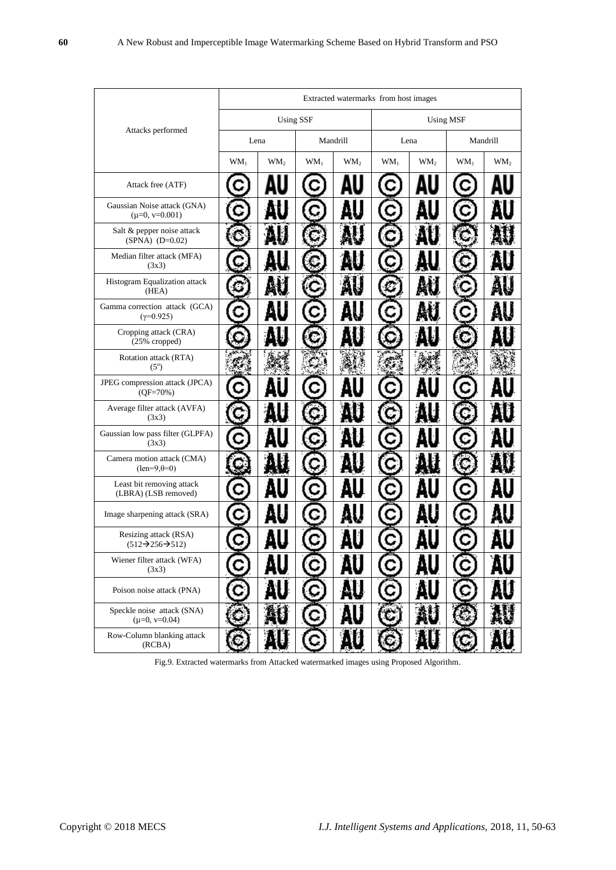|                                                                  | Extracted watermarks from host images |                 |          |                 |           |                 |          |                 |
|------------------------------------------------------------------|---------------------------------------|-----------------|----------|-----------------|-----------|-----------------|----------|-----------------|
|                                                                  | <b>Using SSF</b>                      |                 |          |                 | Using MSF |                 |          |                 |
| Attacks performed                                                | Lena                                  |                 | Mandrill |                 | Lena      |                 | Mandrill |                 |
|                                                                  | $WM_1$                                | WM <sub>2</sub> | $WM_1$   | WM <sub>2</sub> | $WM_1$    | WM <sub>2</sub> | $WM_1$   | WM <sub>2</sub> |
| Attack free (ATF)                                                |                                       |                 |          |                 |           |                 |          |                 |
| Gaussian Noise attack (GNA)<br>$(\mu=0, v=0.001)$                |                                       |                 |          |                 |           |                 |          |                 |
| Salt & pepper noise attack<br>$(SPNA) (D=0.02)$                  |                                       |                 |          |                 |           |                 |          |                 |
| Median filter attack (MFA)<br>(3x3)                              |                                       |                 |          |                 |           |                 |          |                 |
| Histogram Equalization attack<br>(HEA)                           |                                       |                 |          |                 |           |                 |          |                 |
| Gamma correction attack (GCA)<br>$(\gamma = 0.925)$              |                                       |                 |          |                 |           |                 |          |                 |
| Cropping attack (CRA)<br>(25% cropped)                           |                                       |                 |          |                 |           |                 |          |                 |
| Rotation attack (RTA)<br>$(5^\circ)$                             |                                       |                 |          |                 |           |                 |          |                 |
| JPEG compression attack (JPCA)<br>$(QF=70%)$                     |                                       |                 |          |                 |           |                 |          |                 |
| Average filter attack (AVFA)<br>(3x3)                            |                                       |                 |          |                 |           |                 |          |                 |
| Gaussian low pass filter (GLPFA)<br>(3x3)                        |                                       |                 |          |                 |           |                 |          |                 |
| Camera motion attack (CMA)<br>$(len=9, \theta=0)$                |                                       |                 |          |                 |           |                 |          |                 |
| Least bit removing attack<br>(LBRA) (LSB removed)                |                                       |                 |          |                 |           |                 |          |                 |
| Image sharpening attack (SRA)                                    |                                       |                 |          |                 |           |                 |          |                 |
| Resizing attack (RSA)<br>$(512 \rightarrow 256 \rightarrow 512)$ |                                       |                 |          |                 |           |                 |          |                 |
| Wiener filter attack (WFA)<br>(3x3)                              |                                       |                 |          |                 |           |                 |          |                 |
| Poison noise attack (PNA)                                        |                                       |                 |          |                 |           |                 |          |                 |
| Speckle noise attack (SNA)<br>$(\mu=0, v=0.04)$                  |                                       |                 | С        |                 |           |                 |          |                 |
| Row-Column blanking attack<br>(RCBA)                             |                                       |                 |          |                 |           |                 |          |                 |

Fig.9. Extracted watermarks from Attacked watermarked images using Proposed Algorithm.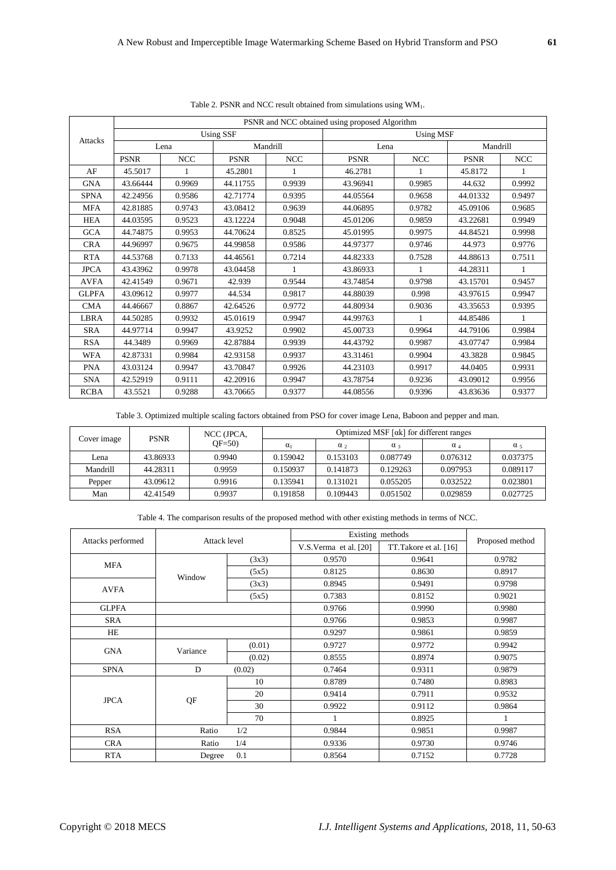|                | PSNR and NCC obtained using proposed Algorithm |            |                  |            |                  |            |             |            |  |  |
|----------------|------------------------------------------------|------------|------------------|------------|------------------|------------|-------------|------------|--|--|
| <b>Attacks</b> |                                                |            | <b>Using SSF</b> |            | <b>Using MSF</b> |            |             |            |  |  |
|                | Lena                                           |            | Mandrill         |            | Lena             |            | Mandrill    |            |  |  |
|                | <b>PSNR</b>                                    | <b>NCC</b> | <b>PSNR</b>      | <b>NCC</b> | <b>PSNR</b>      | <b>NCC</b> | <b>PSNR</b> | <b>NCC</b> |  |  |
| AF             | 45.5017                                        | 1          | 45.2801          |            | 46.2781          | 1          | 45.8172     | 1          |  |  |
| <b>GNA</b>     | 43.66444                                       | 0.9969     | 44.11755         | 0.9939     | 43.96941         | 0.9985     | 44.632      | 0.9992     |  |  |
| <b>SPNA</b>    | 42.24956                                       | 0.9586     | 42.71774         | 0.9395     | 44.05564         | 0.9658     | 44.01332    | 0.9497     |  |  |
| <b>MFA</b>     | 42.81885                                       | 0.9743     | 43.08412         | 0.9639     | 44.06895         | 0.9782     | 45.09106    | 0.9685     |  |  |
| <b>HEA</b>     | 44.03595                                       | 0.9523     | 43.12224         | 0.9048     | 45.01206         | 0.9859     | 43.22681    | 0.9949     |  |  |
| <b>GCA</b>     | 44.74875                                       | 0.9953     | 44.70624         | 0.8525     | 45.01995         | 0.9975     | 44.84521    | 0.9998     |  |  |
| <b>CRA</b>     | 44.96997                                       | 0.9675     | 44.99858         | 0.9586     | 44.97377         | 0.9746     | 44.973      | 0.9776     |  |  |
| <b>RTA</b>     | 44.53768                                       | 0.7133     | 44.46561         | 0.7214     | 44.82333         | 0.7528     | 44.88613    | 0.7511     |  |  |
| <b>JPCA</b>    | 43.43962                                       | 0.9978     | 43.04458         |            | 43.86933         |            | 44.28311    | 1          |  |  |
| <b>AVFA</b>    | 42.41549                                       | 0.9671     | 42.939           | 0.9544     | 43.74854         | 0.9798     | 43.15701    | 0.9457     |  |  |
| <b>GLPFA</b>   | 43.09612                                       | 0.9977     | 44.534           | 0.9817     | 44.88039         | 0.998      | 43.97615    | 0.9947     |  |  |
| <b>CMA</b>     | 44.46667                                       | 0.8867     | 42.64526         | 0.9772     | 44.80934         | 0.9036     | 43.35653    | 0.9395     |  |  |
| LBRA           | 44.50285                                       | 0.9932     | 45.01619         | 0.9947     | 44.99763         |            | 44.85486    | 1          |  |  |
| <b>SRA</b>     | 44.97714                                       | 0.9947     | 43.9252          | 0.9902     | 45.00733         | 0.9964     | 44.79106    | 0.9984     |  |  |
| <b>RSA</b>     | 44.3489                                        | 0.9969     | 42.87884         | 0.9939     | 44.43792         | 0.9987     | 43.07747    | 0.9984     |  |  |
| <b>WFA</b>     | 42.87331                                       | 0.9984     | 42.93158         | 0.9937     | 43.31461         | 0.9904     | 43.3828     | 0.9845     |  |  |
| <b>PNA</b>     | 43.03124                                       | 0.9947     | 43.70847         | 0.9926     | 44.23103         | 0.9917     | 44.0405     | 0.9931     |  |  |
| <b>SNA</b>     | 42.52919                                       | 0.9111     | 42.20916         | 0.9947     | 43.78754         | 0.9236     | 43.09012    | 0.9956     |  |  |
| <b>RCBA</b>    | 43.5521                                        | 0.9288     | 43.70665         | 0.9377     | 44.08556         | 0.9396     | 43.83636    | 0.9377     |  |  |

Table 2. PSNR and NCC result obtained from simulations using WM1.

Table 3. Optimized multiple scaling factors obtained from PSO for cover image Lena, Baboon and pepper and man.

| Cover image | <b>PSNR</b> | NCC (JPCA,<br>$OF=50$ | Optimized MSF $\lceil \alpha k \rceil$ for different ranges |                       |          |          |                       |  |  |
|-------------|-------------|-----------------------|-------------------------------------------------------------|-----------------------|----------|----------|-----------------------|--|--|
|             |             |                       | $\alpha_1$                                                  | $\alpha$ <sub>2</sub> | $\alpha$ | $\alpha$ | $\alpha$ <sub>5</sub> |  |  |
| Lena        | 43.86933    | 0.9940                | 0.159042                                                    | 0.153103              | 0.087749 | 0.076312 | 0.037375              |  |  |
| Mandrill    | 44.28311    | 0.9959                | 0.150937                                                    | 0.141873              | 0.129263 | 0.097953 | 0.089117              |  |  |
| Pepper      | 43.09612    | 0.9916                | 0.135941                                                    | 0.131021              | 0.055205 | 0.032522 | 0.023801              |  |  |
| Man         | 42.41549    | 0.9937                | 0.191858                                                    | 0.109443              | 0.051502 | 0.029859 | 0.027725              |  |  |

| Attacks performed | Attack level  |        | Existing methods      | Proposed method       |        |
|-------------------|---------------|--------|-----------------------|-----------------------|--------|
|                   |               |        | V.S.Verma et al. [20] | TT.Takore et al. [16] |        |
| <b>MFA</b>        |               | (3x3)  | 0.9570                | 0.9641                | 0.9782 |
|                   | Window        | (5x5)  | 0.8125                | 0.8630                | 0.8917 |
| <b>AVFA</b>       |               | (3x3)  | 0.8945                | 0.9491                | 0.9798 |
|                   |               | (5x5)  | 0.7383                | 0.8152                | 0.9021 |
| <b>GLPFA</b>      |               |        | 0.9766                | 0.9990                | 0.9980 |
| <b>SRA</b>        |               |        | 0.9766                | 0.9853                | 0.9987 |
| HE                |               |        | 0.9297                | 0.9861                | 0.9859 |
| <b>GNA</b>        | Variance      | (0.01) | 0.9727                | 0.9772                | 0.9942 |
|                   |               | (0.02) | 0.8555                | 0.8974                | 0.9075 |
| <b>SPNA</b>       | D<br>(0.02)   |        | 0.7464                | 0.9311                | 0.9879 |
|                   |               | 10     | 0.8789                | 0.7480                | 0.8983 |
| <b>JPCA</b>       | QF            | 20     | 0.9414                | 0.7911                | 0.9532 |
|                   |               | 30     | 0.9922                | 0.9112                | 0.9864 |
|                   |               | 70     |                       | 0.8925                |        |
| <b>RSA</b>        | 1/2<br>Ratio  |        | 0.9844                | 0.9851                | 0.9987 |
| <b>CRA</b>        | Ratio         | 1/4    |                       | 0.9730                | 0.9746 |
| <b>RTA</b>        | 0.1<br>Degree |        | 0.8564                | 0.7152                | 0.7728 |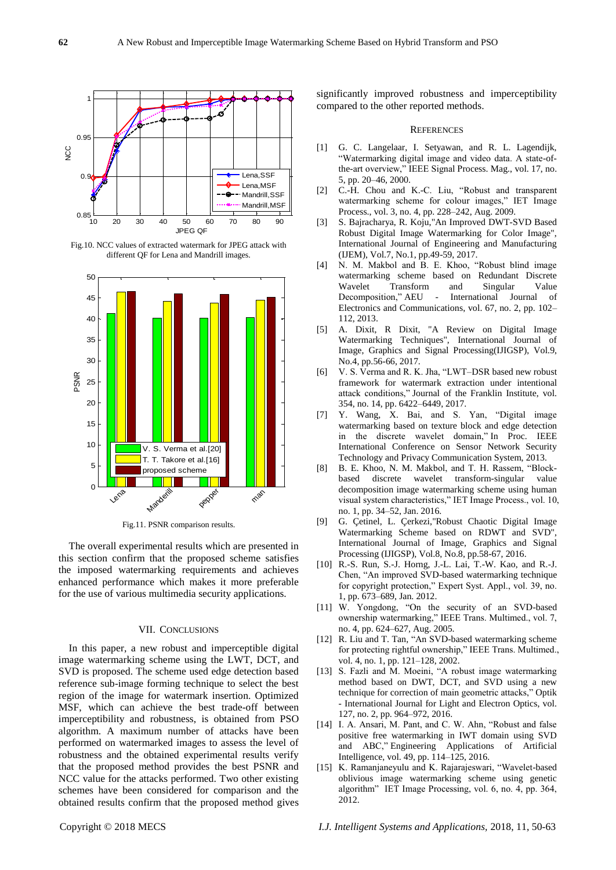

Fig.10. NCC values of extracted watermark for JPEG attack with different QF for Lena and Mandrill images.



Fig.11. PSNR comparison results.

The overall experimental results which are presented in this section confirm that the proposed scheme satisfies the imposed watermarking requirements and achieves enhanced performance which makes it more preferable for the use of various multimedia security applications.

#### VII. CONCLUSIONS

In this paper, a new robust and imperceptible digital image watermarking scheme using the LWT, DCT, and SVD is proposed. The scheme used edge detection based reference sub-image forming technique to select the best region of the image for watermark insertion. Optimized MSF, which can achieve the best trade-off between imperceptibility and robustness, is obtained from PSO algorithm. A maximum number of attacks have been performed on watermarked images to assess the level of robustness and the obtained experimental results verify that the proposed method provides the best PSNR and NCC value for the attacks performed. Two other existing schemes have been considered for comparison and the obtained results confirm that the proposed method gives significantly improved robustness and imperceptibility compared to the other reported methods.

#### **REFERENCES**

- [1] G. C. Langelaar, I. Setyawan, and R. L. Lagendijk, "Watermarking digital image and video data. A state-ofthe-art overview," IEEE Signal Process. Mag., vol. 17, no. 5, pp. 20–46, 2000.
- [2] C.-H. Chou and K.-C. Liu, "Robust and transparent watermarking scheme for colour images," IET Image Process., vol. 3, no. 4, pp. 228–242, Aug. 2009.
- [3] S. Bajracharya, R. Koju,"An Improved DWT-SVD Based Robust Digital Image Watermarking for Color Image", International Journal of Engineering and Manufacturing (IJEM), Vol.7, No.1, pp.49-59, 2017.
- [4] N. M. Makbol and B. E. Khoo, "Robust blind image watermarking scheme based on Redundant Discrete Wavelet Transform and Singular Value Decomposition," AEU - International Journal of Electronics and Communications, vol. 67, no. 2, pp. 102– 112, 2013.
- [5] A. Dixit, R Dixit, "A Review on Digital Image Watermarking Techniques", International Journal of Image, Graphics and Signal Processing(IJIGSP), Vol.9, No.4, pp.56-66, 2017.
- [6] V. S. Verma and R. K. Jha, "LWT–DSR based new robust framework for watermark extraction under intentional attack conditions," Journal of the Franklin Institute, vol. 354, no. 14, pp. 6422–6449, 2017.
- [7] Y. Wang, X. Bai, and S. Yan, "Digital image watermarking based on texture block and edge detection in the discrete wavelet domain," In Proc. IEEE International Conference on Sensor Network Security Technology and Privacy Communication System, 2013.
- [8] B. E. Khoo, N. M. Makbol, and T. H. Rassem, "Blockbased discrete wavelet transform-singular value decomposition image watermarking scheme using human visual system characteristics," IET Image Process., vol. 10, no. 1, pp. 34–52, Jan. 2016.
- [9] G. Çetinel, L. Çerkezi,"Robust Chaotic Digital Image Watermarking Scheme based on RDWT and SVD", International Journal of Image, Graphics and Signal Processing (IJIGSP), Vol.8, No.8, pp.58-67, 2016.
- [10] R.-S. Run, S.-J. Horng, J.-L. Lai, T.-W. Kao, and R.-J. Chen, "An improved SVD-based watermarking technique for copyright protection," Expert Syst. Appl., vol. 39, no. 1, pp. 673–689, Jan. 2012.
- [11] W. Yongdong, "On the security of an SVD-based ownership watermarking," IEEE Trans. Multimed., vol. 7, no. 4, pp. 624–627, Aug. 2005.
- [12] R. Liu and T. Tan, "An SVD-based watermarking scheme for protecting rightful ownership," IEEE Trans. Multimed., vol. 4, no. 1, pp. 121–128, 2002.
- [13] S. Fazli and M. Moeini, "A robust image watermarking method based on DWT, DCT, and SVD using a new technique for correction of main geometric attacks," Optik - International Journal for Light and Electron Optics, vol. 127, no. 2, pp. 964–972, 2016.
- [14] I. A. Ansari, M. Pant, and C. W. Ahn, "Robust and false positive free watermarking in IWT domain using SVD and ABC," Engineering Applications of Artificial Intelligence, vol. 49, pp. 114–125, 2016.
- [15] K. Ramanjaneyulu and K. Rajarajeswari, "Wavelet-based oblivious image watermarking scheme using genetic algorithm" IET Image Processing, vol. 6, no. 4, pp. 364, 2012.